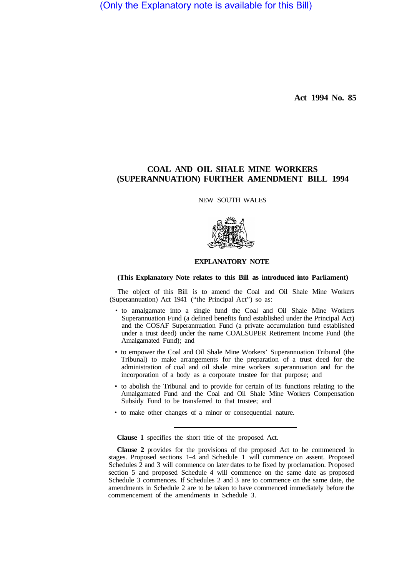(Only the Explanatory note is available for this Bill)

**Act 1994 No. 85** 

# **COAL AND OIL SHALE MINE WORKERS (SUPERANNUATION) FURTHER AMENDMENT BILL 1994**

NEW SOUTH WALES



## **EXPLANATORY NOTE**

## **(This Explanatory Note relates to this Bill as introduced into Parliament)**

The object of this Bill is to amend the Coal and Oil Shale Mine Workers (Superannuation) Act 1941 ("the Principal Act") so as:

- to amalgamate into a single fund the Coal and Oil Shale Mine Workers Superannuation Fund (a defined benefits fund established under the Principal Act) and the COSAF Superannuation Fund (a private accumulation fund established under a trust deed) under the name COALSUPER Retirement Income Fund (the Amalgamated Fund); and
- to empower the Coal and Oil Shale Mine Workers' Superannuation Tribunal (the Tribunal) to make arrangements for the preparation of a trust deed for the administration of coal and oil shale mine workers superannuation and for the incorporation of a body as a corporate trustee for that purpose; and
- to abolish the Tribunal and to provide for certain of its functions relating to the Amalgamated Fund and the Coal and Oil Shale Mine Workers Compensation Subsidy Fund to be transferred to that trustee; and
- to make other changes of a minor or consequential nature.

**Clause 1** specifies the short title of the proposed Act.

**Clause 2** provides for the provisions of the proposed Act to be commenced in stages. Proposed sections 1–4 and Schedule 1 will commence on assent. Proposed Schedules 2 and 3 will commence on later dates to be fixed by proclamation. Proposed section 5 and proposed Schedule 4 will commence on the same date as proposed Schedule 3 commences. If Schedules 2 and 3 are to commence on the same date, the amendments in Schedule 2 are to be taken to have commenced immediately before the commencement of the amendments in Schedule 3.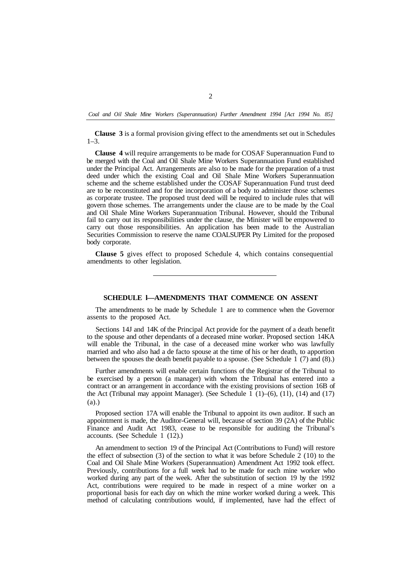*Coal and Oil Shale Mine Workers (Superannuation) Further Amendment 1994 [Act 1994 No. 85]* 

**Clause 3** is a formal provision giving effect to the amendments set out in Schedules 1–3.

**Clause 4** will require arrangements to be made for COSAF Superannuation Fund to be merged with the Coal and Oil Shale Mine Workers Superannuation Fund established under the Principal Act. Arrangements are also to be made for the preparation of a trust deed under which the existing Coal and Oil Shale Mine Workers Superannuation scheme and the scheme established under the COSAF Superannuation Fund trust deed are to be reconstituted and for the incorporation of a body to administer those schemes as corporate trustee. The proposed trust deed will be required to include rules that will govern those schemes. The arrangements under the clause are to be made by the Coal and Oil Shale Mine Workers Superannuation Tribunal. However, should the Tribunal fail to carry out its responsibilities under the clause, the Minister will be empowered to carry out those responsibilities. An application has been made to the Australian Securities Commission to reserve the name COALSUPER Pty Limited for the proposed body corporate.

**Clause 5** gives effect to proposed Schedule 4, which contains consequential amendments to other legislation.

#### **SCHEDULE l—AMENDMENTS THAT COMMENCE ON ASSENT**

The amendments to be made by Schedule 1 are to commence when the Governor assents to the proposed Act.

Sections 14J and 14K of the Principal Act provide for the payment of a death benefit to the spouse and other dependants of a deceased mine worker. Proposed section 14KA will enable the Tribunal, in the case of a deceased mine worker who was lawfully married and who also had a de facto spouse at the time of his or her death, to apportion between the spouses the death benefit payable to a spouse. (See Schedule 1 (7) and (8).)

Further amendments will enable certain functions of the Registrar of the Tribunal to be exercised by a person (a manager) with whom the Tribunal has entered into a contract or an arrangement in accordance with the existing provisions of section 16B of the Act (Tribunal may appoint Manager). (See Schedule 1  $(1)$ – $(6)$ ,  $(11)$ ,  $(14)$  and  $(17)$ (a).)

Proposed section 17A will enable the Tribunal to appoint its own auditor. If such an appointment is made, the Auditor-General will, because of section 39 (2A) of the Public Finance and Audit Act 1983, cease to be responsible for auditing the Tribunal's accounts. (See Schedule 1 (12).)

An amendment to section 19 of the Principal Act (Contributions to Fund) will restore the effect of subsection (3) of the section to what it was before Schedule 2 (10) to the Coal and Oil Shale Mine Workers (Superannuation) Amendment Act 1992 took effect. Previously, contributions for a full week had to be made for each mine worker who worked during any part of the week. After the substitution of section 19 by the 1992 Act, contributions were required to be made in respect of a mine worker on a proportional basis for each day on which the mine worker worked during a week. This method of calculating contributions would, if implemented, have had the effect of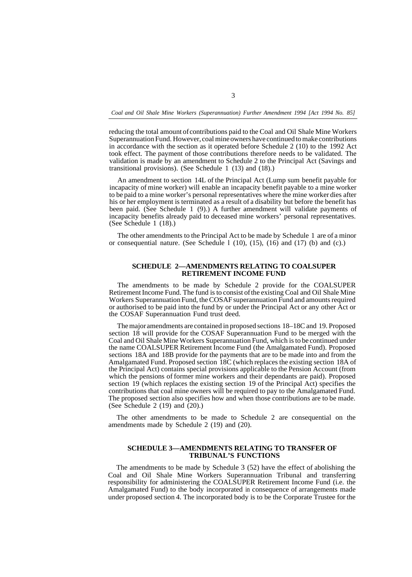*Coal and Oil Shale Mine Workers (Superannuation) Further Amendment 1994 [Act 1994 No. 85]* 

reducing the total amount of contributions paid to the Coal and Oil Shale Mine Workers Superannuation Fund. However, coal mine owners have continued to make contributions in accordance with the section as it operated before Schedule 2 (10) to the 1992 Act took effect. The payment of those contributions therefore needs to be validated. The validation is made by an amendment to Schedule 2 to the Principal Act (Savings and transitional provisions). (See Schedule  $1(13)$  and  $(18)$ .)

An amendment to section 14L of the Principal Act (Lump sum benefit payable for incapacity of mine worker) will enable an incapacity benefit payable to a mine worker to be paid to a mine worker's personal representatives where the mine worker dies after his or her employment is terminated as a result of a disability but before the benefit has been paid. (See Schedule 1 (9).) A further amendment will validate payments of incapacity benefits already paid to deceased mine workers' personal representatives. (See Schedule 1 (18).)

The other amendments to the Principal Act to be made by Schedule 1 are of a minor or consequential nature. (See Schedule l (10), (15), (16) and (17) (b) and (c).)

#### **SCHEDULE 2—AMENDMENTS RELATING TO COALSUPER RETIREMENT INCOME FUND**

The amendments to be made by Schedule 2 provide for the COALSUPER Retirement Income Fund. The fund is to consist of the existing Coal and Oil Shale Mine Workers Superannuation Fund, the COSAF superannuation Fund and amounts required or authorised to be paid into the fund by or under the Principal Act or any other Act or the COSAF Superannuation Fund trust deed.

The major amendments are contained in proposed sections 18–18C and 19. Proposed section 18 will provide for the COSAF Superannuation Fund to be merged with the Coal and Oil Shale Mine Workers Superannuation Fund, which is to be continued under the name COALSUPER Retirement Income Fund (the Amalgamated Fund). Proposed sections 18A and 18B provide for the payments that are to be made into and from the Amalgamated Fund. Proposed section 18C (which replaces the existing section 18A of the Principal Act) contains special provisions applicable to the Pension Account (from which the pensions of former mine workers and their dependants are paid). Proposed section 19 (which replaces the existing section 19 of the Principal Act) specifies the contributions that coal mine owners will be required to pay to the Amalgamated Fund. The proposed section also specifies how and when those contributions are to be made. (See Schedule 2 (19) and (20).)

The other amendments to be made to Schedule 2 are consequential on the amendments made by Schedule 2 (19) and (20).

### **SCHEDULE 3—AMENDMENTS RELATING TO TRANSFER OF TRIBUNAL'S FUNCTIONS**

The amendments to be made by Schedule 3 (52) have the effect of abolishing the Coal and Oil Shale Mine Workers Superannuation Tribunal and transferring responsibility for administering the COALSUPER Retirement Income Fund (i.e. the Amalgamated Fund) to the body incorporated in consequence of arrangements made under proposed section 4. The incorporated body is to be the Corporate Trustee for the